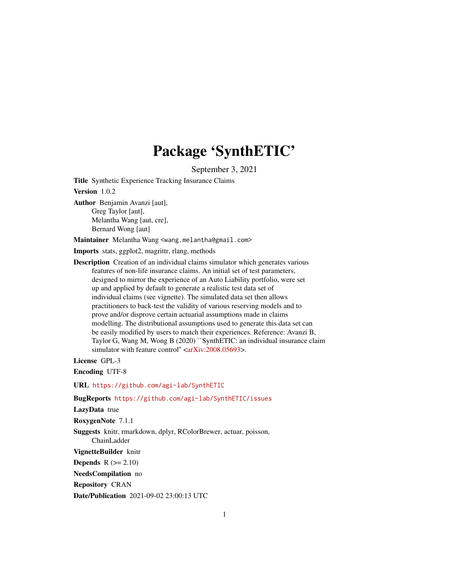# Package 'SynthETIC'

September 3, 2021

Title Synthetic Experience Tracking Insurance Claims

Version 1.0.2

Author Benjamin Avanzi [aut], Greg Taylor [aut], Melantha Wang [aut, cre], Bernard Wong [aut]

Maintainer Melantha Wang <wang.melantha@gmail.com>

Imports stats, ggplot2, magrittr, rlang, methods

Description Creation of an individual claims simulator which generates various features of non-life insurance claims. An initial set of test parameters, designed to mirror the experience of an Auto Liability portfolio, were set up and applied by default to generate a realistic test data set of individual claims (see vignette). The simulated data set then allows practitioners to back-test the validity of various reserving models and to prove and/or disprove certain actuarial assumptions made in claims modelling. The distributional assumptions used to generate this data set can be easily modified by users to match their experiences. Reference: Avanzi B, Taylor G, Wang M, Wong B (2020) ``SynthETIC: an individual insurance claim simulator with feature control" [<arXiv:2008.05693>](https://arxiv.org/abs/2008.05693).

License GPL-3

Encoding UTF-8

URL <https://github.com/agi-lab/SynthETIC>

# BugReports <https://github.com/agi-lab/SynthETIC/issues>

LazyData true

RoxygenNote 7.1.1

Suggests knitr, rmarkdown, dplyr, RColorBrewer, actuar, poisson, ChainLadder

VignetteBuilder knitr

**Depends**  $R (= 2.10)$ 

NeedsCompilation no

Repository CRAN

Date/Publication 2021-09-02 23:00:13 UTC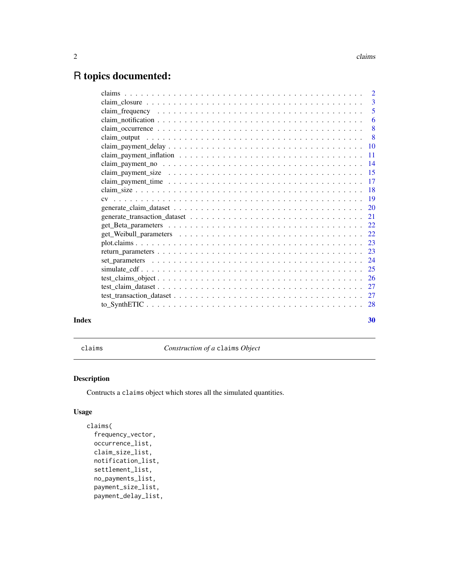# <span id="page-1-0"></span>R topics documented:

|       | $claim\_closure \dots \dots \dots \dots \dots \dots \dots \dots \dots \dots \dots \dots \dots \dots \dots \dots \dots \dots$ |                |
|-------|------------------------------------------------------------------------------------------------------------------------------|----------------|
|       |                                                                                                                              | $\overline{5}$ |
|       |                                                                                                                              |                |
|       |                                                                                                                              |                |
|       |                                                                                                                              |                |
|       |                                                                                                                              |                |
|       |                                                                                                                              |                |
|       |                                                                                                                              |                |
|       |                                                                                                                              |                |
|       |                                                                                                                              |                |
|       |                                                                                                                              |                |
|       |                                                                                                                              |                |
|       |                                                                                                                              |                |
|       |                                                                                                                              |                |
|       |                                                                                                                              |                |
|       |                                                                                                                              |                |
|       |                                                                                                                              |                |
|       |                                                                                                                              |                |
|       |                                                                                                                              |                |
|       |                                                                                                                              |                |
|       |                                                                                                                              |                |
|       |                                                                                                                              |                |
|       |                                                                                                                              |                |
|       |                                                                                                                              |                |
|       |                                                                                                                              |                |
| Index |                                                                                                                              | 30             |

<span id="page-1-1"></span>claims *Construction of a* claims *Object*

# Description

Contructs a claims object which stores all the simulated quantities.

# Usage

```
claims(
  frequency_vector,
  occurrence_list,
  claim_size_list,
  notification_list,
  settlement_list,
  no_payments_list,
  payment_size_list,
  payment_delay_list,
```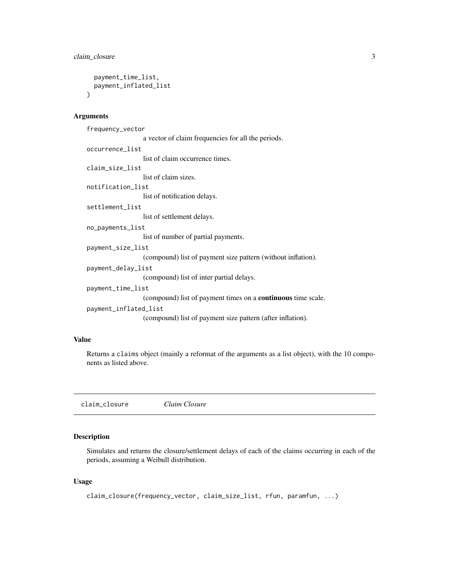```
payment_time_list,
  payment_inflated_list
\lambda
```
# Arguments

```
frequency_vector
                  a vector of claim frequencies for all the periods.
occurrence_list
                  list of claim occurrence times.
claim_size_list
                  list of claim sizes.
notification_list
                  list of notification delays.
settlement_list
                  list of settlement delays.
no_payments_list
                  list of number of partial payments.
payment_size_list
                  (compound) list of payment size pattern (without inflation).
payment_delay_list
                  (compound) list of inter partial delays.
payment_time_list
                  (compound) list of payment times on a continuous time scale.
payment_inflated_list
                  (compound) list of payment size pattern (after inflation).
```
# Value

Returns a claims object (mainly a reformat of the arguments as a list object), with the 10 components as listed above.

<span id="page-2-1"></span>claim\_closure *Claim Closure*

# Description

Simulates and returns the closure/settlement delays of each of the claims occurring in each of the periods, assuming a Weibull distribution.

# Usage

```
claim_closure(frequency_vector, claim_size_list, rfun, paramfun, ...)
```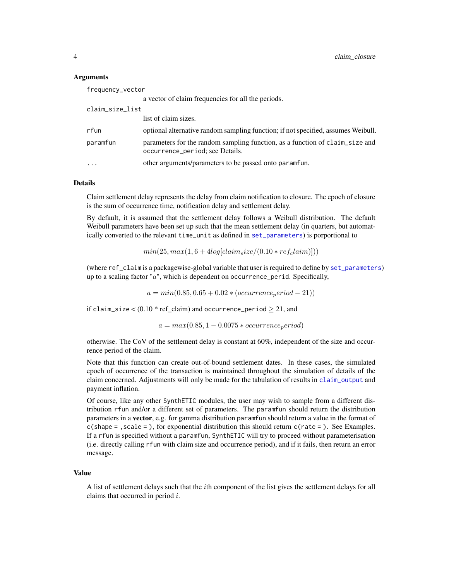# <span id="page-3-0"></span>**Arguments**

| a vector of claim frequencies for all the periods.                                                                          |  |
|-----------------------------------------------------------------------------------------------------------------------------|--|
| claim_size_list                                                                                                             |  |
| list of claim sizes.                                                                                                        |  |
| rfun<br>optional alternative random sampling function; if not specified, assumes Weibull.                                   |  |
| parameters for the random sampling function, as a function of claim size and<br>paramfun<br>occurrence_period; see Details. |  |
| other arguments/parameters to be passed onto paramfun.<br>$\cdot$                                                           |  |

# Details

Claim settlement delay represents the delay from claim notification to closure. The epoch of closure is the sum of occurrence time, notification delay and settlement delay.

By default, it is assumed that the settlement delay follows a Weibull distribution. The default Weibull parameters have been set up such that the mean settlement delay (in quarters, but automatically converted to the relevant time\_unit as defined in [set\\_parameters](#page-23-1)) is porportional to

 $min(25, max(1, 6 + 4log[claim_size/(0.10 * ref_claim)]))$ 

(where ref\_claim is a packagewise-global variable that user is required to define by [set\\_parameters](#page-23-1)) up to a scaling factor " $a$ ", which is dependent on occurrence perid. Specifically,

 $a = min(0.85, 0.65 + 0.02 * (occurrence<sub>p</sub>eriod - 21))$ 

if claim\_size  $<(0.10 * ref\_claim)$  and occurrence\_period  $\geq 21$ , and

 $a = max(0.85, 1 - 0.0075 * occurrence<sub>p</sub>eriod)$ 

otherwise. The CoV of the settlement delay is constant at 60%, independent of the size and occurrence period of the claim.

Note that this function can create out-of-bound settlement dates. In these cases, the simulated epoch of occurrence of the transaction is maintained throughout the simulation of details of the claim concerned. Adjustments will only be made for the tabulation of results in [claim\\_output](#page-7-1) and payment inflation.

Of course, like any other SynthETIC modules, the user may wish to sample from a different distribution rfun and/or a different set of parameters. The paramfun should return the distribution parameters in a **vector**, e.g. for gamma distribution paramfun should return a value in the format of  $c$ (shape = , scale = ), for exponential distribution this should return  $c$  (rate = ). See Examples. If a rfun is specified without a paramfun, SynthETIC will try to proceed without parameterisation (i.e. directly calling rfun with claim size and occurrence period), and if it fails, then return an error message.

#### Value

A list of settlement delays such that the ith component of the list gives the settlement delays for all claims that occurred in period  $i$ .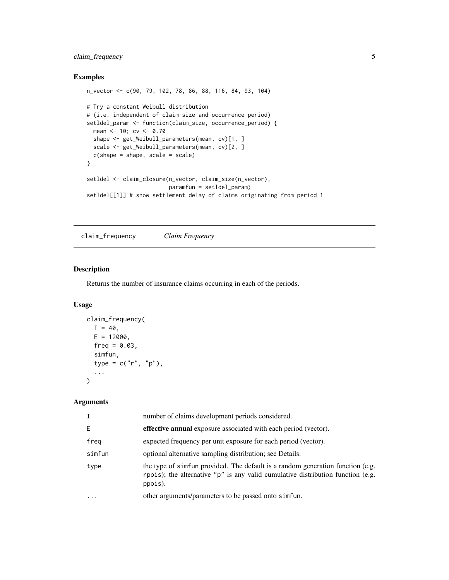# <span id="page-4-0"></span>claim\_frequency 5

# Examples

```
n_vector <- c(90, 79, 102, 78, 86, 88, 116, 84, 93, 104)
# Try a constant Weibull distribution
# (i.e. independent of claim size and occurrence period)
setldel_param <- function(claim_size, occurrence_period) {
 mean <- 10; cv <- 0.70
  shape <- get_Weibull_parameters(mean, cv)[1, ]
  scale <- get_Weibull_parameters(mean, cv)[2, ]
  c(shape = shape, scale = scale)
}
setldel <- claim_closure(n_vector, claim_size(n_vector),
                        paramfun = setldel_param)
setldel[[1]] # show settlement delay of claims originating from period 1
```
<span id="page-4-1"></span>claim\_frequency *Claim Frequency*

#### Description

Returns the number of insurance claims occurring in each of the periods.

## Usage

```
claim_frequency(
  I = 40,
  E = 12000,
  freq = 0.03,simfun,
  type = c("r", "p"),
  ...
\lambda
```
#### Arguments

| $\mathsf{T}$            | number of claims development periods considered.                                                                                                                             |
|-------------------------|------------------------------------------------------------------------------------------------------------------------------------------------------------------------------|
| E                       | effective annual exposure associated with each period (vector).                                                                                                              |
| freg                    | expected frequency per unit exposure for each period (vector).                                                                                                               |
| simfun                  | optional alternative sampling distribution; see Details.                                                                                                                     |
| type                    | the type of simfun provided. The default is a random generation function (e.g.<br>rpois); the alternative "p" is any valid cumulative distribution function (e.g.<br>ppois). |
| $\cdot$ $\cdot$ $\cdot$ | other arguments/parameters to be passed onto simfun.                                                                                                                         |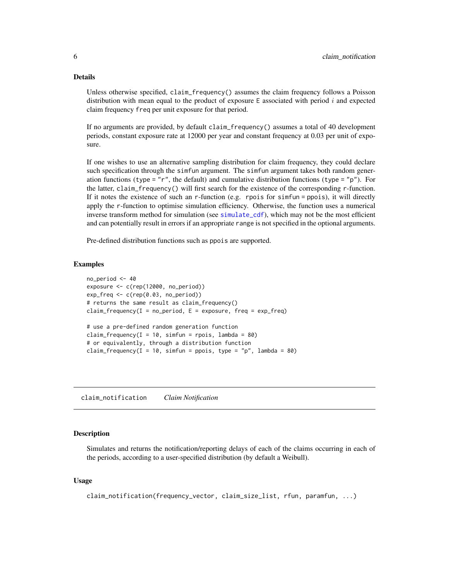# <span id="page-5-0"></span>Details

Unless otherwise specified, claim\_frequency() assumes the claim frequency follows a Poisson distribution with mean equal to the product of exposure  $E$  associated with period i and expected claim frequency freq per unit exposure for that period.

If no arguments are provided, by default claim\_frequency() assumes a total of 40 development periods, constant exposure rate at 12000 per year and constant frequency at 0.03 per unit of exposure.

If one wishes to use an alternative sampling distribution for claim frequency, they could declare such specification through the simfun argument. The simfun argument takes both random generation functions (type = "r", the default) and cumulative distribution functions (type = "p"). For the latter, claim\_frequency() will first search for the existence of the corresponding r-function. If it notes the existence of such an  $r$ -function (e.g. rpois for simfun = ppois), it will directly apply the r-function to optimise simulation efficiency. Otherwise, the function uses a numerical inverse transform method for simulation (see [simulate\\_cdf](#page-24-1)), which may not be the most efficient and can potentially result in errors if an appropriate range is not specified in the optional arguments.

Pre-defined distribution functions such as ppois are supported.

#### Examples

```
no_period <- 40
exposure <- c(rep(12000, no_period))
exp_freq \leftarrow c(rep(0.03, no_period))# returns the same result as claim_frequency()
claim_frequency(I = no\_period, E = exposure, freq = exp\_freq)
# use a pre-defined random generation function
claim_frequency(I = 10, simfun = rpois, lambda = 80)
# or equivalently, through a distribution function
claim_frequency(I = 10, simfun = ppois, type = "p", lambda = 80)
```
<span id="page-5-1"></span>claim\_notification *Claim Notification*

# Description

Simulates and returns the notification/reporting delays of each of the claims occurring in each of the periods, according to a user-specified distribution (by default a Weibull).

#### Usage

```
claim_notification(frequency_vector, claim_size_list, rfun, paramfun, ...)
```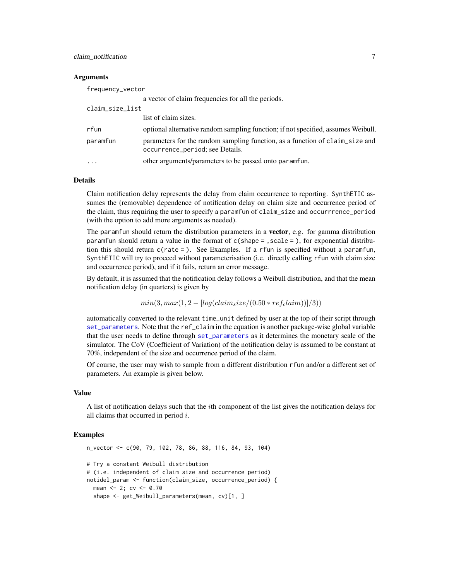# <span id="page-6-0"></span>claim\_notification 7

# Arguments

| frequency_vector |                                                                                                                 |
|------------------|-----------------------------------------------------------------------------------------------------------------|
|                  | a vector of claim frequencies for all the periods.                                                              |
| claim_size_list  |                                                                                                                 |
|                  | list of claim sizes.                                                                                            |
| rfun             | optional alternative random sampling function; if not specified, assumes Weibull.                               |
| paramfun         | parameters for the random sampling function, as a function of claim size and<br>occurrence_period; see Details. |
| $\cdot$          | other arguments/parameters to be passed onto paramfun.                                                          |

# Details

Claim notification delay represents the delay from claim occurrence to reporting. SynthETIC assumes the (removable) dependence of notification delay on claim size and occurrence period of the claim, thus requiring the user to specify a paramfun of claim\_size and occurrrence\_period (with the option to add more arguments as needed).

The paramfun should return the distribution parameters in a **vector**, e.g. for gamma distribution paramfun should return a value in the format of  $c$ (shape = , scale = ), for exponential distribution this should return c(rate = ). See Examples. If a rfun is specified without a paramfun, SynthETIC will try to proceed without parameterisation (i.e. directly calling rfun with claim size and occurrence period), and if it fails, return an error message.

By default, it is assumed that the notification delay follows a Weibull distribution, and that the mean notification delay (in quarters) is given by

$$
min(3, max(1, 2 - [log(claim_size/(0.50*ref_claim))]/3))
$$

automatically converted to the relevant time\_unit defined by user at the top of their script through [set\\_parameters](#page-23-1). Note that the ref\_claim in the equation is another package-wise global variable that the user needs to define through [set\\_parameters](#page-23-1) as it determines the monetary scale of the simulator. The CoV (Coefficient of Variation) of the notification delay is assumed to be constant at 70%, independent of the size and occurrence period of the claim.

Of course, the user may wish to sample from a different distribution rfun and/or a different set of parameters. An example is given below.

# Value

A list of notification delays such that the  $i$ th component of the list gives the notification delays for all claims that occurred in period  $i$ .

```
n_vector <- c(90, 79, 102, 78, 86, 88, 116, 84, 93, 104)
# Try a constant Weibull distribution
# (i.e. independent of claim size and occurrence period)
notidel_param <- function(claim_size, occurrence_period) {
 mean <- 2; cv <- 0.70
 shape <- get_Weibull_parameters(mean, cv)[1, ]
```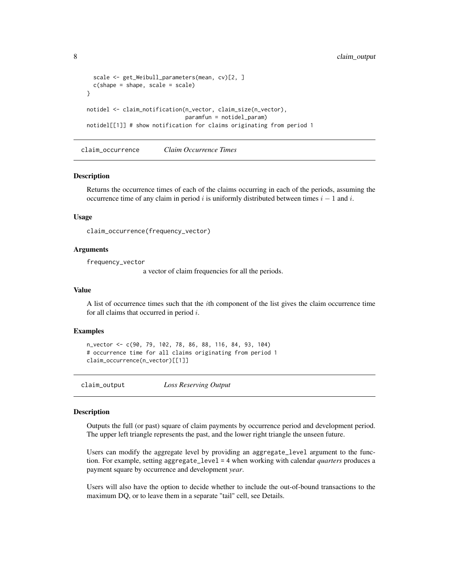```
scale <- get_Weibull_parameters(mean, cv)[2, ]
 c(shape = shape, scale = scale)
}
notidel <- claim_notification(n_vector, claim_size(n_vector),
                              paramfun = notidel_param)
notidel[[1]] # show notification for claims originating from period 1
```
<span id="page-7-2"></span>claim\_occurrence *Claim Occurrence Times*

#### Description

Returns the occurrence times of each of the claims occurring in each of the periods, assuming the occurrence time of any claim in period i is uniformly distributed between times  $i - 1$  and i.

#### Usage

claim\_occurrence(frequency\_vector)

# Arguments

frequency\_vector

a vector of claim frequencies for all the periods.

#### Value

A list of occurrence times such that the ith component of the list gives the claim occurrence time for all claims that occurred in period  $i$ .

#### Examples

```
n_vector <- c(90, 79, 102, 78, 86, 88, 116, 84, 93, 104)
# occurrence time for all claims originating from period 1
claim_occurrence(n_vector)[[1]]
```
<span id="page-7-1"></span>claim\_output *Loss Reserving Output*

#### Description

Outputs the full (or past) square of claim payments by occurrence period and development period. The upper left triangle represents the past, and the lower right triangle the unseen future.

Users can modify the aggregate level by providing an aggregate\_level argument to the function. For example, setting aggregate\_level = 4 when working with calendar *quarters* produces a payment square by occurrence and development *year*.

Users will also have the option to decide whether to include the out-of-bound transactions to the maximum DQ, or to leave them in a separate "tail" cell, see Details.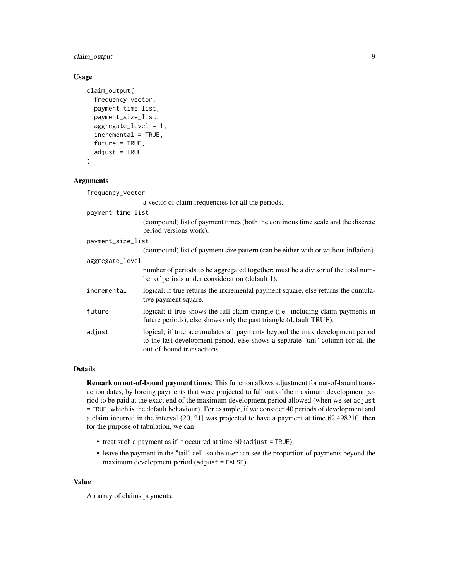claim\_output 9

# Usage

```
claim_output(
  frequency_vector,
  payment_time_list,
  payment_size_list,
  aggregate\_level = 1,
  incremental = TRUE,future = TRUE,
  adjust = TRUE\mathcal{L}
```
# Arguments

| frequency_vector  |                                                                                                                                                                                              |
|-------------------|----------------------------------------------------------------------------------------------------------------------------------------------------------------------------------------------|
|                   | a vector of claim frequencies for all the periods.                                                                                                                                           |
| payment_time_list |                                                                                                                                                                                              |
|                   | (compound) list of payment times (both the continous time scale and the discrete<br>period versions work).                                                                                   |
| payment_size_list |                                                                                                                                                                                              |
|                   | (compound) list of payment size pattern (can be either with or without inflation).                                                                                                           |
| aggregate_level   |                                                                                                                                                                                              |
|                   | number of periods to be aggregated together; must be a divisor of the total num-<br>ber of periods under consideration (default 1).                                                          |
| incremental       | logical; if true returns the incremental payment square, else returns the cumula-<br>tive payment square.                                                                                    |
| future            | logical; if true shows the full claim triangle (i.e. including claim payments in<br>future periods), else shows only the past triangle (default TRUE).                                       |
| adjust            | logical; if true accumulates all payments beyond the max development period<br>to the last development period, else shows a separate "tail" column for all the<br>out-of-bound transactions. |

# Details

Remark on out-of-bound payment times: This function allows adjustment for out-of-bound transaction dates, by forcing payments that were projected to fall out of the maximum development period to be paid at the exact end of the maximum development period allowed (when we set adjust = TRUE, which is the default behaviour). For example, if we consider 40 periods of development and a claim incurred in the interval (20, 21] was projected to have a payment at time 62.498210, then for the purpose of tabulation, we can

- treat such a payment as if it occurred at time  $60$  (adjust = TRUE);
- leave the payment in the "tail" cell, so the user can see the proportion of payments beyond the maximum development period (adjust = FALSE).

# Value

An array of claims payments.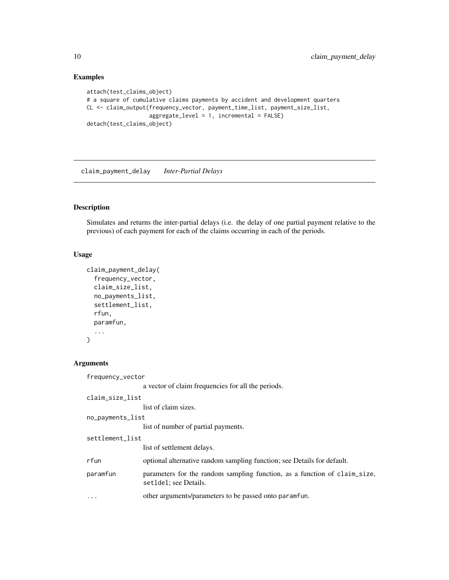# Examples

```
attach(test_claims_object)
# a square of cumulative claims payments by accident and development quarters
CL <- claim_output(frequency_vector, payment_time_list, payment_size_list,
                   aggregate_level = 1, incremental = FALSE)
detach(test_claims_object)
```
<span id="page-9-1"></span>claim\_payment\_delay *Inter-Partial Delays*

# Description

Simulates and returns the inter-partial delays (i.e. the delay of one partial payment relative to the previous) of each payment for each of the claims occurring in each of the periods.

# Usage

```
claim_payment_delay(
  frequency_vector,
  claim_size_list,
  no_payments_list,
  settlement_list,
  rfun,
  paramfun,
  ...
)
```
# Arguments

frequency\_vector

a vector of claim frequencies for all the periods.

```
claim_size_list
```
list of claim sizes.

```
no_payments_list
```
list of number of partial payments.

```
settlement_list
```
list of settlement delays.

- rfun optional alternative random sampling function; see Details for default.
- paramfun parameters for the random sampling function, as a function of claim\_size, setldel; see Details.
- ... other arguments/parameters to be passed onto paramfun.

<span id="page-9-0"></span>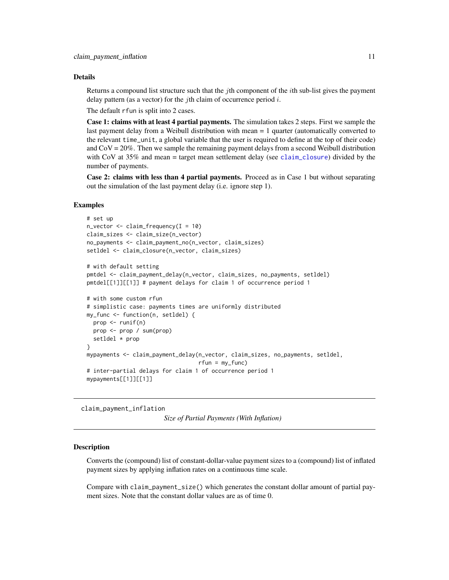#### <span id="page-10-0"></span>Details

Returns a compound list structure such that the *i*th component of the *i*th sub-list gives the payment delay pattern (as a vector) for the *j*th claim of occurrence period  $i$ .

The default rfun is split into 2 cases.

Case 1: claims with at least 4 partial payments. The simulation takes 2 steps. First we sample the last payment delay from a Weibull distribution with mean = 1 quarter (automatically converted to the relevant time\_unit, a global variable that the user is required to define at the top of their code) and  $CoV = 20\%$ . Then we sample the remaining payment delays from a second Weibull distribution with CoV at 35% and mean = target mean settlement delay (see [claim\\_closure](#page-2-1)) divided by the number of payments.

Case 2: claims with less than 4 partial payments. Proceed as in Case 1 but without separating out the simulation of the last payment delay (i.e. ignore step 1).

# Examples

```
# set up
n_vector <- claim_frequency(I = 10)
claim_sizes <- claim_size(n_vector)
no_payments <- claim_payment_no(n_vector, claim_sizes)
setldel <- claim_closure(n_vector, claim_sizes)
# with default setting
pmtdel <- claim_payment_delay(n_vector, claim_sizes, no_payments, setldel)
pmtdel[[1]][[1]] # payment delays for claim 1 of occurrence period 1
# with some custom rfun
# simplistic case: payments times are uniformly distributed
my_func <- function(n, setldel) {
 prop <- runif(n)
 prop <- prop / sum(prop)
 setldel * prop
}
mypayments <- claim_payment_delay(n_vector, claim_sizes, no_payments, setldel,
                                  rfun = my_func)# inter-partial delays for claim 1 of occurrence period 1
mypayments[[1]][[1]]
```
<span id="page-10-1"></span>claim\_payment\_inflation

```
Size of Partial Payments (With Inflation)
```
#### **Description**

Converts the (compound) list of constant-dollar-value payment sizes to a (compound) list of inflated payment sizes by applying inflation rates on a continuous time scale.

Compare with claim\_payment\_size() which generates the constant dollar amount of partial payment sizes. Note that the constant dollar values are as of time 0.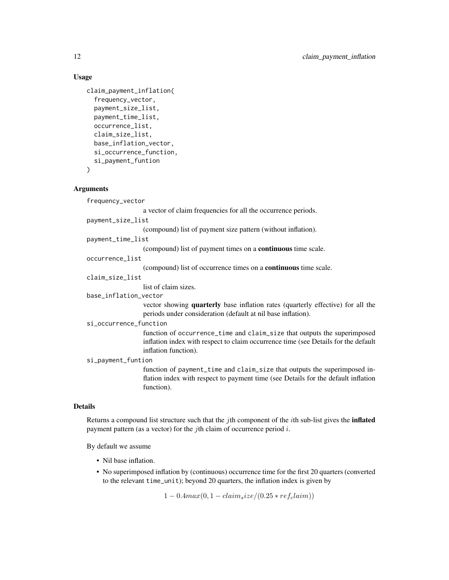# Usage

```
claim_payment_inflation(
  frequency_vector,
  payment_size_list,
  payment_time_list,
  occurrence_list,
  claim_size_list,
  base_inflation_vector,
  si_occurrence_function,
  si_payment_funtion
```
)

# Arguments

frequency\_vector

a vector of claim frequencies for all the occurrence periods.

payment\_size\_list

(compound) list of payment size pattern (without inflation).

payment\_time\_list

(compound) list of payment times on a continuous time scale.

# occurrence\_list

(compound) list of occurrence times on a continuous time scale.

claim\_size\_list

list of claim sizes.

#### base\_inflation\_vector

vector showing quarterly base inflation rates (quarterly effective) for all the periods under consideration (default at nil base inflation).

si\_occurrence\_function

function of occurrence\_time and claim\_size that outputs the superimposed inflation index with respect to claim occurrence time (see Details for the default inflation function).

si\_payment\_funtion

function of payment\_time and claim\_size that outputs the superimposed inflation index with respect to payment time (see Details for the default inflation function).

# Details

Returns a compound list structure such that the  $j$ th component of the  $i$ th sub-list gives the **inflated** payment pattern (as a vector) for the *j*th claim of occurrence period  $i$ .

By default we assume

- Nil base inflation.
- No superimposed inflation by (continuous) occurrence time for the first 20 quarters (converted to the relevant time\_unit); beyond 20 quarters, the inflation index is given by

 $1 - 0.4max(0, 1 - claim_size/(0.25*ref_clain))$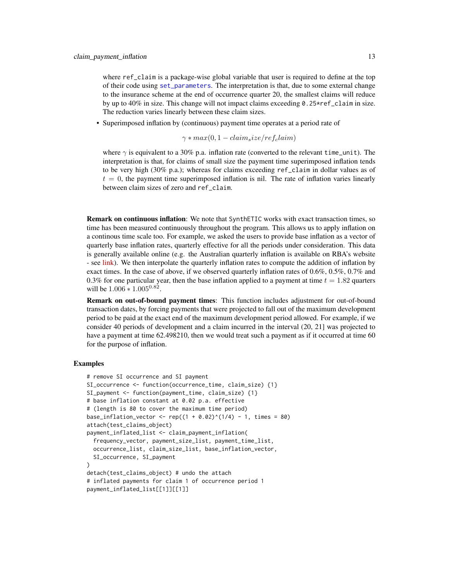<span id="page-12-0"></span>where ref\_claim is a package-wise global variable that user is required to define at the top of their code using [set\\_parameters](#page-23-1). The interpretation is that, due to some external change to the insurance scheme at the end of occurrence quarter 20, the smallest claims will reduce by up to 40% in size. This change will not impact claims exceeding 0.25\*ref\_claim in size. The reduction varies linearly between these claim sizes.

• Superimposed inflation by (continuous) payment time operates at a period rate of

 $\gamma * max(0, 1 - claim_size/ref_claim)$ 

where  $\gamma$  is equivalent to a 30% p.a. inflation rate (converted to the relevant time\_unit). The interpretation is that, for claims of small size the payment time superimposed inflation tends to be very high (30% p.a.); whereas for claims exceeding ref\_claim in dollar values as of  $t = 0$ , the payment time superimposed inflation is nil. The rate of inflation varies linearly between claim sizes of zero and ref\_claim.

Remark on continuous inflation: We note that SynthETIC works with exact transaction times, so time has been measured continuously throughout the program. This allows us to apply inflation on a continous time scale too. For example, we asked the users to provide base inflation as a vector of quarterly base inflation rates, quarterly effective for all the periods under consideration. This data is generally available online (e.g. the Australian quarterly inflation is available on RBA's website - see [link\)](https://www.rba.gov.au/inflation/measures-cpi.html#quarterly). We then interpolate the quarterly inflation rates to compute the addition of inflation by exact times. In the case of above, if we observed quarterly inflation rates of 0.6%, 0.5%, 0.7% and 0.3% for one particular year, then the base inflation applied to a payment at time  $t = 1.82$  quarters will be  $1.006 * 1.005^{0.82}$ .

Remark on out-of-bound payment times: This function includes adjustment for out-of-bound transaction dates, by forcing payments that were projected to fall out of the maximum development period to be paid at the exact end of the maximum development period allowed. For example, if we consider 40 periods of development and a claim incurred in the interval (20, 21] was projected to have a payment at time  $62.498210$ , then we would treat such a payment as if it occurred at time 60 for the purpose of inflation.

```
# remove SI occurrence and SI payment
SI_occurrence <- function(occurrence_time, claim_size) {1}
SI_payment <- function(payment_time, claim_size) {1}
# base inflation constant at 0.02 p.a. effective
# (length is 80 to cover the maximum time period)
base_inflation_vector <- rep((1 + 0.02)^{(1/4)} - 1, times = 80)
attach(test_claims_object)
payment_inflated_list <- claim_payment_inflation(
  frequency_vector, payment_size_list, payment_time_list,
 occurrence_list, claim_size_list, base_inflation_vector,
 SI_occurrence, SI_payment
)
detach(test_claims_object) # undo the attach
# inflated payments for claim 1 of occurrence period 1
payment_inflated_list[[1]][[1]]
```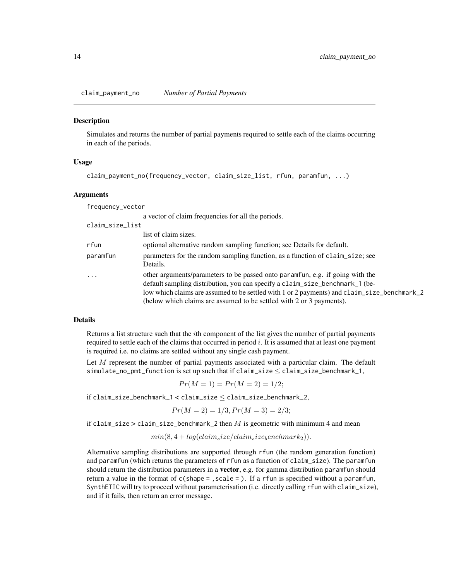<span id="page-13-1"></span><span id="page-13-0"></span>claim\_payment\_no *Number of Partial Payments*

# Description

Simulates and returns the number of partial payments required to settle each of the claims occurring in each of the periods.

# Usage

```
claim_payment_no(frequency_vector, claim_size_list, rfun, paramfun, ...)
```
# Arguments

frequency\_vector

|                 | a vector of claim frequencies for all the periods.                                                                                                                                                                                                                                                                                   |
|-----------------|--------------------------------------------------------------------------------------------------------------------------------------------------------------------------------------------------------------------------------------------------------------------------------------------------------------------------------------|
| claim_size_list |                                                                                                                                                                                                                                                                                                                                      |
|                 | list of claim sizes.                                                                                                                                                                                                                                                                                                                 |
| rfun            | optional alternative random sampling function; see Details for default.                                                                                                                                                                                                                                                              |
| paramfun        | parameters for the random sampling function, as a function of claim_size; see<br>Details.                                                                                                                                                                                                                                            |
| $\cdots$        | other arguments/parameters to be passed onto paramfun, e.g. if going with the<br>default sampling distribution, you can specify a claim_size_benchmark_1 (be-<br>low which claims are assumed to be settled with 1 or 2 payments) and claim_size_benchmark_2<br>(below which claims are assumed to be settled with 2 or 3 payments). |

#### Details

Returns a list structure such that the *i*th component of the list gives the number of partial payments required to settle each of the claims that occurred in period  $i$ . It is assumed that at least one payment is required i.e. no claims are settled without any single cash payment.

Let  $M$  represent the number of partial payments associated with a particular claim. The default  $simulate\_no\_pm\_function$  is set up such that if  $claim\_size \leq claim\_size\_benchmark\_1$ ,

$$
Pr(M = 1) = Pr(M = 2) = 1/2;
$$

 $if claim_size\_benchmark_1 < claim_size \le claim_size\_benchmark_2$ 

$$
Pr(M = 2) = 1/3, Pr(M = 3) = 2/3;
$$

if claim\_size > claim\_size\_benchmark\_2 then  $M$  is geometric with minimum 4 and mean

 $min(8, 4 + log(claim<sub>s</sub>ize/claim<sub>s</sub>ize<sub>b</sub>enchmark<sub>2</sub>)).$ 

Alternative sampling distributions are supported through rfun (the random generation function) and paramfun (which returns the parameters of rfun as a function of claim\_size). The paramfun should return the distribution parameters in a **vector**, e.g. for gamma distribution paramfun should return a value in the format of c(shape = ,scale = ). If a rfun is specified without a paramfun, SynthETIC will try to proceed without parameterisation (i.e. directly calling rfun with claim\_size), and if it fails, then return an error message.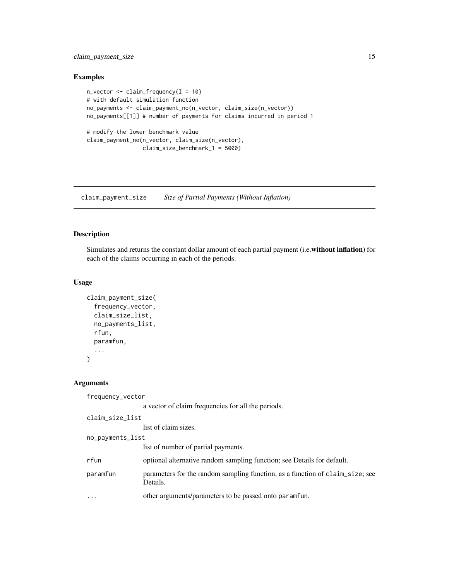# <span id="page-14-0"></span>claim\_payment\_size 15

# Examples

```
n_vector <- claim_frequency(I = 10)
# with default simulation function
no_payments <- claim_payment_no(n_vector, claim_size(n_vector))
no_payments[[1]] # number of payments for claims incurred in period 1
# modify the lower benchmark value
claim_payment_no(n_vector, claim_size(n_vector),
                 claim_size_benchmark_1 = 5000)
```
<span id="page-14-1"></span>claim\_payment\_size *Size of Partial Payments (Without Inflation)*

# Description

Simulates and returns the constant dollar amount of each partial payment (i.e.without inflation) for each of the claims occurring in each of the periods.

# Usage

```
claim_payment_size(
  frequency_vector,
  claim_size_list,
 no_payments_list,
  rfun,
 paramfun,
  ...
)
```
# Arguments

frequency\_vector

```
a vector of claim frequencies for all the periods.
```

```
claim_size_list
                 list of claim sizes.
no_payments_list
```
list of number of partial payments.

```
rfun optional alternative random sampling function; see Details for default.
```
- paramfun parameters for the random sampling function, as a function of claim\_size; see Details.
- ... other arguments/parameters to be passed onto paramfun.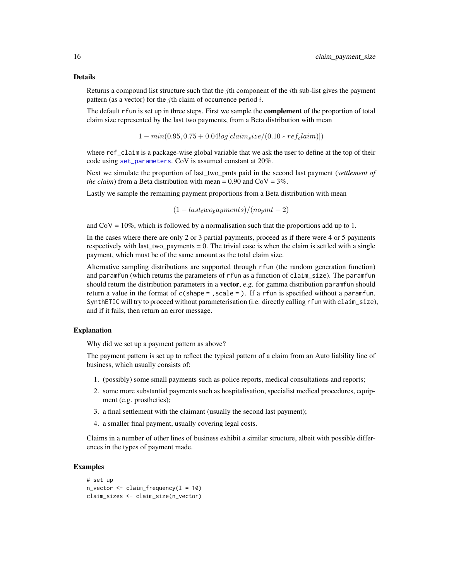# <span id="page-15-0"></span>Details

Returns a compound list structure such that the jth component of the *i*th sub-list gives the payment pattern (as a vector) for the *j*th claim of occurrence period  $i$ .

The default rfun is set up in three steps. First we sample the **complement** of the proportion of total claim size represented by the last two payments, from a Beta distribution with mean

 $1 - min(0.95, 0.75 + 0.04 log[claim_size/(0.10*ref_claim)])$ 

where ref\_claim is a package-wise global variable that we ask the user to define at the top of their code using [set\\_parameters](#page-23-1). CoV is assumed constant at 20%.

Next we simulate the proportion of last\_two\_pmts paid in the second last payment (*settlement of the claim*) from a Beta distribution with mean =  $0.90$  and  $CoV = 3\%$ .

Lastly we sample the remaining payment proportions from a Beta distribution with mean

 $(1 - last<sub>t</sub>wo<sub>p</sub>ayments)/(no<sub>p</sub>mt - 2)$ 

and  $\text{COV} = 10\%$ , which is followed by a normalisation such that the proportions add up to 1.

In the cases where there are only 2 or 3 partial payments, proceed as if there were 4 or 5 payments respectively with last\_two\_payments  $= 0$ . The trivial case is when the claim is settled with a single payment, which must be of the same amount as the total claim size.

Alternative sampling distributions are supported through rfun (the random generation function) and paramfun (which returns the parameters of rfun as a function of claim\_size). The paramfun should return the distribution parameters in a **vector**, e.g. for gamma distribution paramfun should return a value in the format of  $c$ (shape = , scale = ). If a rfun is specified without a paramfun, SynthETIC will try to proceed without parameterisation (i.e. directly calling rfun with claim\_size), and if it fails, then return an error message.

# Explanation

Why did we set up a payment pattern as above?

The payment pattern is set up to reflect the typical pattern of a claim from an Auto liability line of business, which usually consists of:

- 1. (possibly) some small payments such as police reports, medical consultations and reports;
- 2. some more substantial payments such as hospitalisation, specialist medical procedures, equipment (e.g. prosthetics);
- 3. a final settlement with the claimant (usually the second last payment);
- 4. a smaller final payment, usually covering legal costs.

Claims in a number of other lines of business exhibit a similar structure, albeit with possible differences in the types of payment made.

```
# set up
n\_vector \leq - \text{claim\_frequency}(I = 10)claim_sizes <- claim_size(n_vector)
```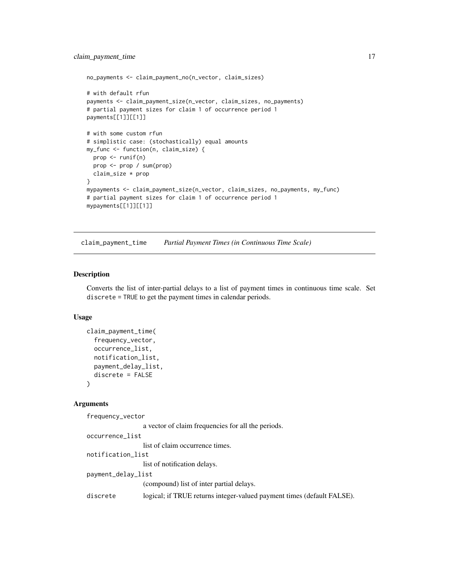```
no_payments <- claim_payment_no(n_vector, claim_sizes)
# with default rfun
payments <- claim_payment_size(n_vector, claim_sizes, no_payments)
# partial payment sizes for claim 1 of occurrence period 1
payments[[1]][[1]]
# with some custom rfun
# simplistic case: (stochastically) equal amounts
my_func <- function(n, claim_size) {
  prop <- runif(n)
  prop <- prop / sum(prop)
  claim_size * prop
}
mypayments <- claim_payment_size(n_vector, claim_sizes, no_payments, my_func)
# partial payment sizes for claim 1 of occurrence period 1
mypayments[[1]][[1]]
```
<span id="page-16-1"></span>claim\_payment\_time *Partial Payment Times (in Continuous Time Scale)*

#### Description

Converts the list of inter-partial delays to a list of payment times in continuous time scale. Set discrete = TRUE to get the payment times in calendar periods.

# Usage

```
claim_payment_time(
  frequency_vector,
  occurrence_list,
  notification_list,
  payment_delay_list,
  discrete = FALSE
)
```
#### Arguments

frequency\_vector

```
a vector of claim frequencies for all the periods.
occurrence_list
                  list of claim occurrence times.
notification_list
                 list of notification delays.
payment_delay_list
                  (compound) list of inter partial delays.
discrete logical; if TRUE returns integer-valued payment times (default FALSE).
```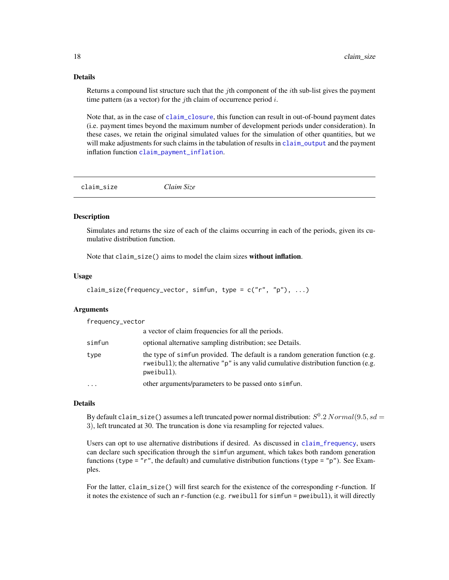# <span id="page-17-0"></span>Details

Returns a compound list structure such that the *i*th component of the *i*th sub-list gives the payment time pattern (as a vector) for the *j*th claim of occurrence period  $i$ .

Note that, as in the case of [claim\\_closure](#page-2-1), this function can result in out-of-bound payment dates (i.e. payment times beyond the maximum number of development periods under consideration). In these cases, we retain the original simulated values for the simulation of other quantities, but we will make adjustments for such claims in the tabulation of results in [claim\\_output](#page-7-1) and the payment inflation function [claim\\_payment\\_inflation](#page-10-1).

<span id="page-17-1"></span>claim\_size *Claim Size*

# **Description**

Simulates and returns the size of each of the claims occurring in each of the periods, given its cumulative distribution function.

Note that claim\_size() aims to model the claim sizes without inflation.

#### Usage

```
claim_size(frequency_vector, simfun, type = c("r", "p"), ...)
```
# Arguments

frequency\_vector

|           | a vector of claim frequencies for all the periods.                                                                                                                                     |
|-----------|----------------------------------------------------------------------------------------------------------------------------------------------------------------------------------------|
| simfun    | optional alternative sampling distribution; see Details.                                                                                                                               |
| type      | the type of simfun provided. The default is a random generation function (e.g.<br>rweibull); the alternative " $p$ " is any valid cumulative distribution function (e.g.<br>pweibull). |
| $\ddotsc$ | other arguments/parameters to be passed onto simfun.                                                                                                                                   |

#### Details

By default claim\_size() assumes a left truncated power normal distribution:  $S^0.2 Normal(9.5, sd =$ 3), left truncated at 30. The truncation is done via resampling for rejected values.

Users can opt to use alternative distributions if desired. As discussed in [claim\\_frequency](#page-4-1), users can declare such specification through the simfun argument, which takes both random generation functions (type = "r", the default) and cumulative distribution functions (type = "p"). See Examples.

For the latter, claim\_size() will first search for the existence of the corresponding r-function. If it notes the existence of such an r-function (e.g. rweibull for simfun = pweibull), it will directly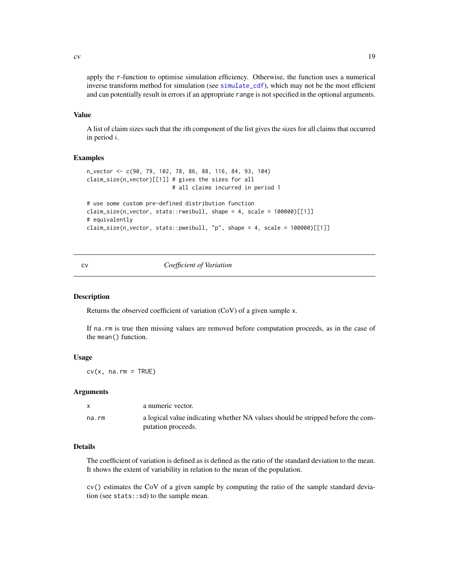<span id="page-18-0"></span>apply the r-function to optimise simulation efficiency. Otherwise, the function uses a numerical inverse transform method for simulation (see [simulate\\_cdf](#page-24-1)), which may not be the most efficient and can potentially result in errors if an appropriate range is not specified in the optional arguments.

# Value

A list of claim sizes such that the ith component of the list gives the sizes for all claims that occurred in period i.

# Examples

```
n_vector <- c(90, 79, 102, 78, 86, 88, 116, 84, 93, 104)
claim_size(n_vector)[[1]] # gives the sizes for all
                          # all claims incurred in period 1
# use some custom pre-defined distribution function
claim_size(n_vector, stats::rweibull, shape = 4, scale = 100000)[[1]]
# equivalently
claim_size(n_vector, stats::pweibull, "p", shape = 4, scale = 100000 [[1]]
```
# cv *Coefficient of Variation*

# Description

Returns the observed coefficient of variation (CoV) of a given sample x.

If na.rm is true then missing values are removed before computation proceeds, as in the case of the mean() function.

# Usage

 $cv(x, na.rm = TRUE)$ 

#### Arguments

|       | a numeric vector.                                                                                     |
|-------|-------------------------------------------------------------------------------------------------------|
| na.rm | a logical value indicating whether NA values should be stripped before the com-<br>putation proceeds. |

# Details

The coefficient of variation is defined as is defined as the ratio of the standard deviation to the mean. It shows the extent of variability in relation to the mean of the population.

cv() estimates the CoV of a given sample by computing the ratio of the sample standard deviation (see stats::sd) to the sample mean.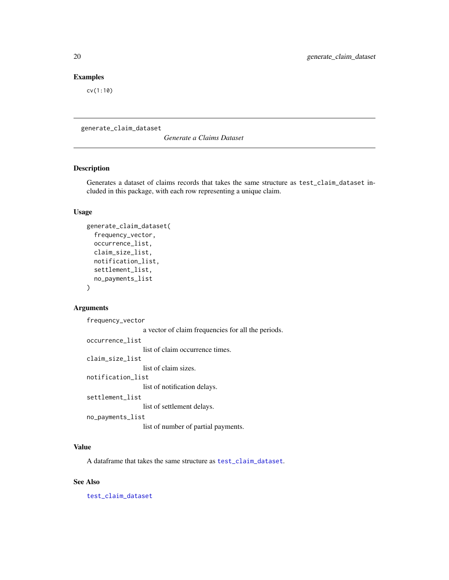# <span id="page-19-0"></span>Examples

cv(1:10)

generate\_claim\_dataset

*Generate a Claims Dataset*

# Description

Generates a dataset of claims records that takes the same structure as test\_claim\_dataset included in this package, with each row representing a unique claim.

# Usage

```
generate_claim_dataset(
  frequency_vector,
  occurrence_list,
  claim_size_list,
  notification_list,
  settlement_list,
  no_payments_list
)
```
# Arguments

frequency\_vector

a vector of claim frequencies for all the periods. occurrence\_list list of claim occurrence times. claim\_size\_list list of claim sizes. notification\_list list of notification delays. settlement\_list list of settlement delays. no\_payments\_list list of number of partial payments.

# Value

A dataframe that takes the same structure as [test\\_claim\\_dataset](#page-26-1).

# See Also

[test\\_claim\\_dataset](#page-26-1)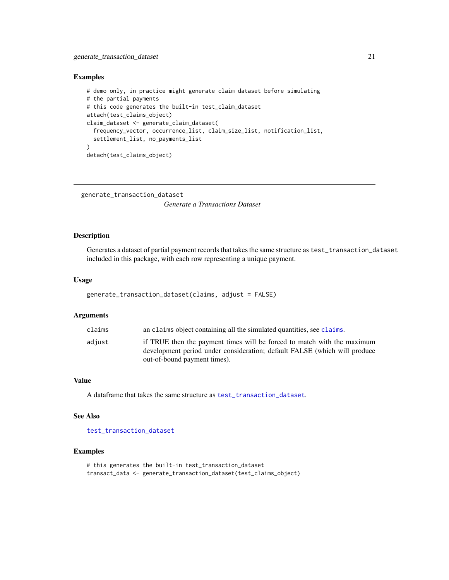# <span id="page-20-0"></span>Examples

```
# demo only, in practice might generate claim dataset before simulating
# the partial payments
# this code generates the built-in test_claim_dataset
attach(test_claims_object)
claim_dataset <- generate_claim_dataset(
  frequency_vector, occurrence_list, claim_size_list, notification_list,
  settlement_list, no_payments_list
)
detach(test_claims_object)
```

```
generate_transaction_dataset
```
*Generate a Transactions Dataset*

# Description

Generates a dataset of partial payment records that takes the same structure as test\_transaction\_dataset included in this package, with each row representing a unique payment.

#### Usage

```
generate_transaction_dataset(claims, adjust = FALSE)
```
# Arguments

| claims | an claims object containing all the simulated quantities, see claims.                                                                                                                |
|--------|--------------------------------------------------------------------------------------------------------------------------------------------------------------------------------------|
| adiust | if TRUE then the payment times will be forced to match with the maximum<br>development period under consideration; default FALSE (which will produce<br>out-of-bound payment times). |
|        |                                                                                                                                                                                      |

#### Value

A dataframe that takes the same structure as [test\\_transaction\\_dataset](#page-26-2).

# See Also

[test\\_transaction\\_dataset](#page-26-2)

```
# this generates the built-in test_transaction_dataset
transact_data <- generate_transaction_dataset(test_claims_object)
```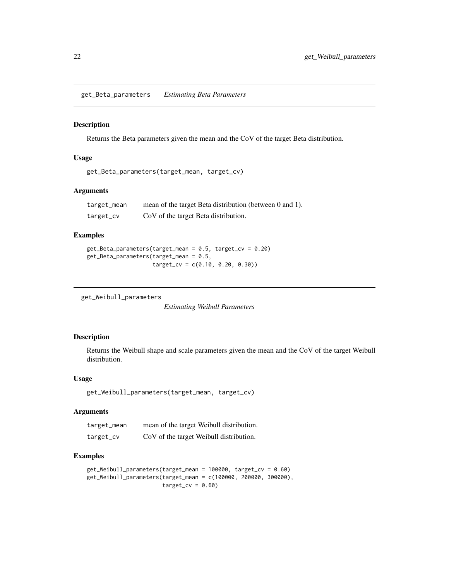<span id="page-21-0"></span>get\_Beta\_parameters *Estimating Beta Parameters*

# Description

Returns the Beta parameters given the mean and the CoV of the target Beta distribution.

# Usage

```
get_Beta_parameters(target_mean, target_cv)
```
# Arguments

target\_mean mean of the target Beta distribution (between 0 and 1). target\_cv CoV of the target Beta distribution.

# Examples

```
get_Beta_parameters(target_mean = 0.5, target_cv = 0.20)
get_Beta_parameters(target_mean = 0.5,
                    target_cv = c(0.10, 0.20, 0.30))
```

```
get_Weibull_parameters
```
*Estimating Weibull Parameters*

# Description

Returns the Weibull shape and scale parameters given the mean and the CoV of the target Weibull distribution.

# Usage

```
get_Weibull_parameters(target_mean, target_cv)
```
#### Arguments

| target_mean | mean of the target Weibull distribution. |
|-------------|------------------------------------------|
| target_cv   | CoV of the target Weibull distribution.  |

```
get_Weibull_parameters(target_mean = 100000, target_cv = 0.60)
get_Weibull_parameters(target_mean = c(100000, 200000, 300000),
                      target_cv = 0.60
```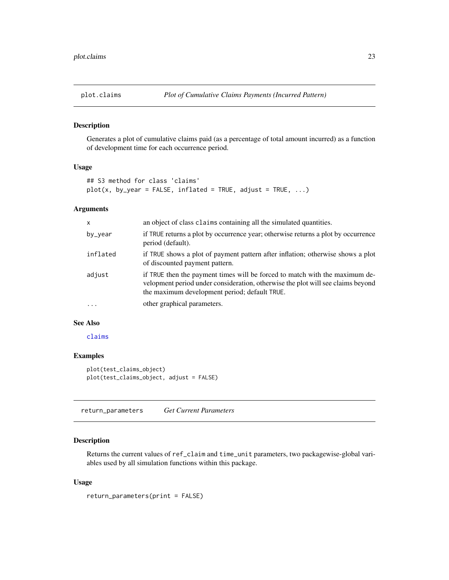<span id="page-22-0"></span>

# Description

Generates a plot of cumulative claims paid (as a percentage of total amount incurred) as a function of development time for each occurrence period.

# Usage

```
## S3 method for class 'claims'
plot(x, by\_year = FALSE, inflated = TRUE, adjust = TRUE, ...)
```
# Arguments

| $\mathsf{x}$ | an object of class claims containing all the simulated quantities.                                                                                                                                              |
|--------------|-----------------------------------------------------------------------------------------------------------------------------------------------------------------------------------------------------------------|
| by_year      | if TRUE returns a plot by occurrence year; otherwise returns a plot by occurrence<br>period (default).                                                                                                          |
| inflated     | if TRUE shows a plot of payment pattern after inflation; otherwise shows a plot<br>of discounted payment pattern.                                                                                               |
| adjust       | if TRUE then the payment times will be forced to match with the maximum de-<br>velopment period under consideration, otherwise the plot will see claims beyond<br>the maximum development period; default TRUE. |
| $\cdot$      | other graphical parameters.                                                                                                                                                                                     |

# See Also

[claims](#page-1-1)

# Examples

```
plot(test_claims_object)
plot(test_claims_object, adjust = FALSE)
```
<span id="page-22-1"></span>return\_parameters *Get Current Parameters*

# Description

Returns the current values of ref\_claim and time\_unit parameters, two packagewise-global variables used by all simulation functions within this package.

# Usage

return\_parameters(print = FALSE)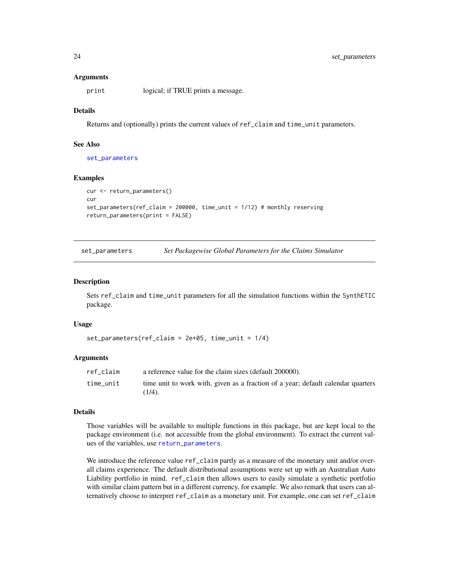#### Arguments

print logical; if TRUE prints a message.

# Details

Returns and (optionally) prints the current values of ref\_claim and time\_unit parameters.

#### See Also

[set\\_parameters](#page-23-1)

# Examples

```
cur <- return_parameters()
cur
set_parameters(ref_claim = 200000, time_unit = 1/12) # monthly reserving
return_parameters(print = FALSE)
```
<span id="page-23-1"></span>set\_parameters *Set Packagewise Global Parameters for the Claims Simulator*

#### Description

Sets ref\_claim and time\_unit parameters for all the simulation functions within the SynthETIC package.

#### Usage

```
set_parameters(ref_claim = 2e+05, time_unit = 1/4)
```
# Arguments

| ref claim | a reference value for the claim sizes (default 200000).                                       |
|-----------|-----------------------------------------------------------------------------------------------|
| time unit | time unit to work with, given as a fraction of a year; default calendar quarters<br>$(1/4)$ . |

#### Details

Those variables will be available to multiple functions in this package, but are kept local to the package environment (i.e. not accessible from the global environment). To extract the current values of the variables, use [return\\_parameters](#page-22-1).

We introduce the reference value ref\_claim partly as a measure of the monetary unit and/or overall claims experience. The default distributional assumptions were set up with an Australian Auto Liability portfolio in mind. ref\_claim then allows users to easily simulate a synthetic portfolio with similar claim pattern but in a different currency, for example. We also remark that users can alternatively choose to interpret ref\_claim as a monetary unit. For example, one can set ref\_claim

<span id="page-23-0"></span>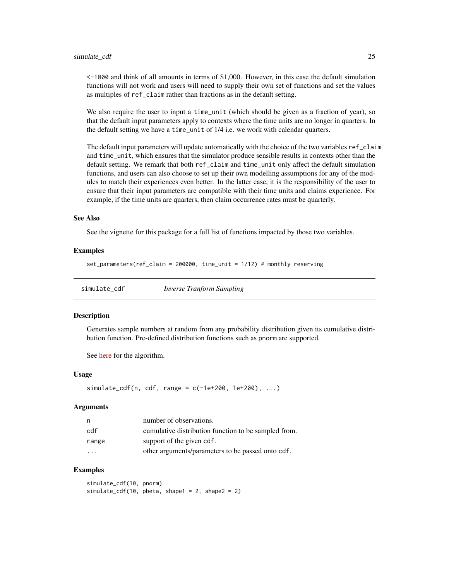#### <span id="page-24-0"></span>simulate\_cdf 25

<-1000 and think of all amounts in terms of \$1,000. However, in this case the default simulation functions will not work and users will need to supply their own set of functions and set the values as multiples of ref\_claim rather than fractions as in the default setting.

We also require the user to input a time\_unit (which should be given as a fraction of year), so that the default input parameters apply to contexts where the time units are no longer in quarters. In the default setting we have a time\_unit of 1/4 i.e. we work with calendar quarters.

The default input parameters will update automatically with the choice of the two variables ref\_claim and time\_unit, which ensures that the simulator produce sensible results in contexts other than the default setting. We remark that both ref\_claim and time\_unit only affect the default simulation functions, and users can also choose to set up their own modelling assumptions for any of the modules to match their experiences even better. In the latter case, it is the responsibility of the user to ensure that their input parameters are compatible with their time units and claims experience. For example, if the time units are quarters, then claim occurrence rates must be quarterly.

#### See Also

See the vignette for this package for a full list of functions impacted by those two variables.

#### Examples

set\_parameters(ref\_claim = 200000, time\_unit = 1/12) # monthly reserving

<span id="page-24-1"></span>simulate\_cdf *Inverse Tranform Sampling*

#### **Description**

Generates sample numbers at random from any probability distribution given its cumulative distribution function. Pre-defined distribution functions such as pnorm are supported.

See [here](https://en.wikipedia.org/wiki/Inverse_transform_sampling) for the algorithm.

# Usage

 $simulate_cdf(n, cdf, range = c(-1e+200, 1e+200), ...)$ 

# Arguments

| n,      | number of observations.                              |
|---------|------------------------------------------------------|
| cdf     | cumulative distribution function to be sampled from. |
| range   | support of the given cdf.                            |
| $\cdot$ | other arguments/parameters to be passed onto cdf.    |

# Examples

simulate\_cdf(10, pnorm)  $simulate_cdf(10, pbeta, shape1 = 2, shape2 = 2)$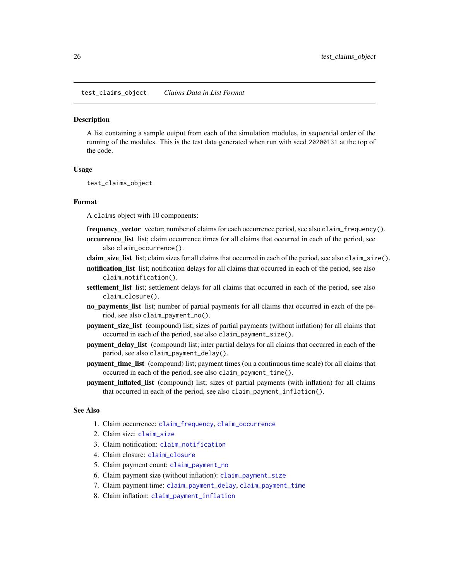<span id="page-25-0"></span>test\_claims\_object *Claims Data in List Format*

# **Description**

A list containing a sample output from each of the simulation modules, in sequential order of the running of the modules. This is the test data generated when run with seed 20200131 at the top of the code.

# Usage

test\_claims\_object

# Format

A claims object with 10 components:

frequency\_vector vector; number of claims for each occurrence period, see also claim\_frequency().

- occurrence\_list list; claim occurrence times for all claims that occurred in each of the period, see also claim\_occurrence().
- claim\_size\_list list; claim sizes for all claims that occurred in each of the period, see also claim\_size().
- notification list list; notification delays for all claims that occurred in each of the period, see also claim\_notification().
- settlement\_list list; settlement delays for all claims that occurred in each of the period, see also claim\_closure().
- no\_payments\_list list; number of partial payments for all claims that occurred in each of the period, see also claim\_payment\_no().
- payment\_size\_list (compound) list; sizes of partial payments (without inflation) for all claims that occurred in each of the period, see also claim\_payment\_size().
- payment\_delay\_list (compound) list; inter partial delays for all claims that occurred in each of the period, see also claim\_payment\_delay().
- **payment time list** (compound) list; payment times (on a continuous time scale) for all claims that occurred in each of the period, see also claim\_payment\_time().
- payment\_inflated\_list (compound) list; sizes of partial payments (with inflation) for all claims that occurred in each of the period, see also claim\_payment\_inflation().

# See Also

- 1. Claim occurrence: [claim\\_frequency](#page-4-1), [claim\\_occurrence](#page-7-2)
- 2. Claim size: [claim\\_size](#page-17-1)
- 3. Claim notification: [claim\\_notification](#page-5-1)
- 4. Claim closure: [claim\\_closure](#page-2-1)
- 5. Claim payment count: [claim\\_payment\\_no](#page-13-1)
- 6. Claim payment size (without inflation): [claim\\_payment\\_size](#page-14-1)
- 7. Claim payment time: [claim\\_payment\\_delay](#page-9-1), [claim\\_payment\\_time](#page-16-1)
- 8. Claim inflation: [claim\\_payment\\_inflation](#page-10-1)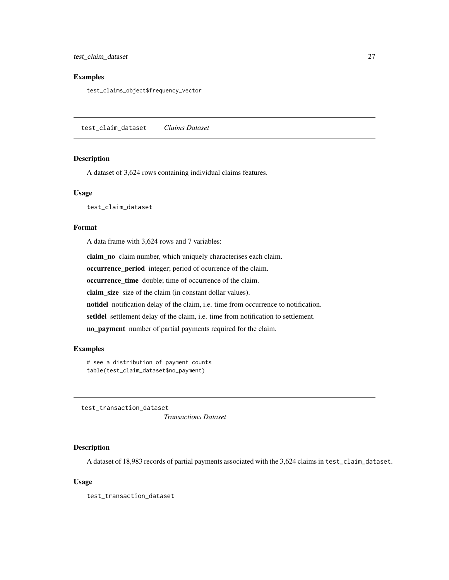<span id="page-26-0"></span>test\_claim\_dataset 27

# Examples

test\_claims\_object\$frequency\_vector

<span id="page-26-1"></span>test\_claim\_dataset *Claims Dataset*

#### Description

A dataset of 3,624 rows containing individual claims features.

# Usage

test\_claim\_dataset

# Format

A data frame with 3,624 rows and 7 variables:

claim\_no claim number, which uniquely characterises each claim.

occurrence\_period integer; period of ocurrence of the claim.

occurrence\_time double; time of occurrence of the claim.

claim\_size size of the claim (in constant dollar values).

notidel notification delay of the claim, i.e. time from occurrence to notification.

setldel settlement delay of the claim, i.e. time from notification to settlement.

no\_payment number of partial payments required for the claim.

# Examples

# see a distribution of payment counts table(test\_claim\_dataset\$no\_payment)

<span id="page-26-2"></span>test\_transaction\_dataset

*Transactions Dataset*

# Description

A dataset of 18,983 records of partial payments associated with the 3,624 claims in test\_claim\_dataset.

# Usage

test\_transaction\_dataset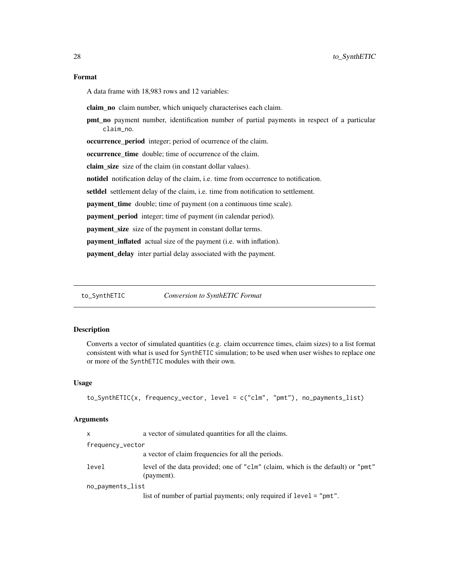# <span id="page-27-0"></span>Format

A data frame with 18,983 rows and 12 variables:

claim\_no claim number, which uniquely characterises each claim.

pmt\_no payment number, identification number of partial payments in respect of a particular claim\_no.

occurrence\_period integer; period of ocurrence of the claim.

occurrence\_time double; time of occurrence of the claim.

claim size size of the claim (in constant dollar values).

notidel notification delay of the claim, i.e. time from occurrence to notification.

setldel settlement delay of the claim, i.e. time from notification to settlement.

payment\_time double; time of payment (on a continuous time scale).

payment\_period integer; time of payment (in calendar period).

payment\_size size of the payment in constant dollar terms.

payment\_inflated actual size of the payment (i.e. with inflation).

payment\_delay inter partial delay associated with the payment.

to\_SynthETIC *Conversion to SynthETIC Format*

#### Description

Converts a vector of simulated quantities (e.g. claim occurrence times, claim sizes) to a list format consistent with what is used for SynthETIC simulation; to be used when user wishes to replace one or more of the SynthETIC modules with their own.

#### Usage

```
to_SynthETIC(x, frequency_vector, level = c("clm", "pmt"), no_payments_list)
```
#### Arguments

| $\mathsf{x}$     | a vector of simulated quantities for all the claims.                                          |  |
|------------------|-----------------------------------------------------------------------------------------------|--|
| frequency_vector |                                                                                               |  |
|                  | a vector of claim frequencies for all the periods.                                            |  |
| level            | level of the data provided; one of "clm" (claim, which is the default) or "pmt"<br>(payment). |  |
| no_payments_list |                                                                                               |  |
|                  | list of number of partial payments; only required if level = "pmt".                           |  |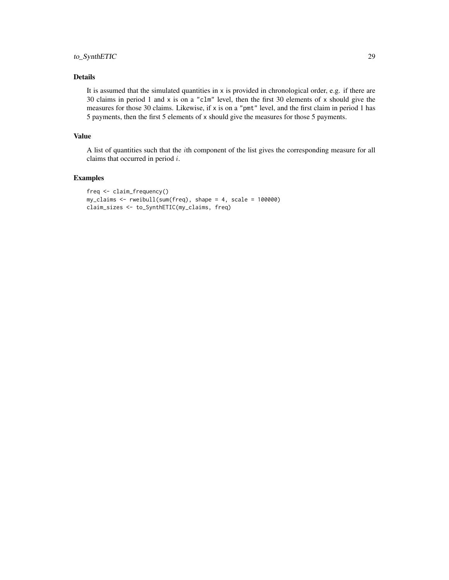# to\_SynthETIC 29

# Details

It is assumed that the simulated quantities in  $x$  is provided in chronological order, e.g. if there are 30 claims in period 1 and x is on a "clm" level, then the first 30 elements of x should give the measures for those 30 claims. Likewise, if x is on a "pmt" level, and the first claim in period 1 has 5 payments, then the first 5 elements of x should give the measures for those 5 payments.

# Value

A list of quantities such that the ith component of the list gives the corresponding measure for all claims that occurred in period i.

```
freq <- claim_frequency()
my_claims <- rweibull(sum(freq), shape = 4, scale = 100000)
claim_sizes <- to_SynthETIC(my_claims, freq)
```